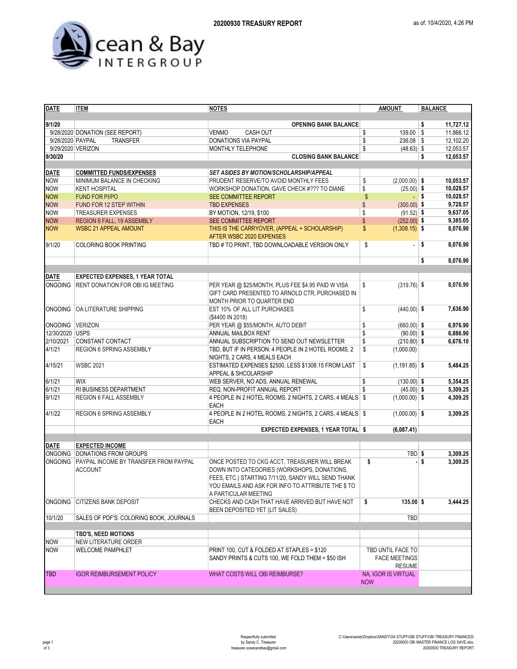

| <b>DATE</b>      | <b>ITEM</b>                             | <b>NOTES</b>                                            | <b>AMOUNT</b>          | <b>BALANCE</b>                 |
|------------------|-----------------------------------------|---------------------------------------------------------|------------------------|--------------------------------|
|                  |                                         |                                                         |                        |                                |
| 9/1/20           |                                         | <b>OPENING BANK BALANCE</b>                             |                        | 11,727.12<br>\$                |
|                  | 9/28/2020 DONATION (SEE REPORT)         | <b>CASH OUT</b><br><b>VENMO</b>                         | 139.00 \$<br>\$        | 11.866.12                      |
| 9/28/2020 PAYPAL | <b>TRANSFER</b>                         | DONATIONS VIA PAYPAL                                    | \$<br>$236.08$ \ \$    | 12,102.20                      |
|                  | 9/29/2020 VERIZON                       | MONTHLY TELEPHONE                                       | $(48.63)$ \$<br>\$     | 12,053.57                      |
| 9/30/20          |                                         | <b>CLOSING BANK BALANCE</b>                             |                        | \$<br>12,053.57                |
|                  |                                         |                                                         |                        |                                |
| <b>DATE</b>      | <b>COMMITTED FUNDS/EXPENSES</b>         | <b>SET ASIDES BY MOTION/SCHOLARSHIP/APPEAL</b>          |                        |                                |
| <b>NOW</b>       | MINIMUM BALANCE IN CHECKING             | PRUDENT RESERVE/TO AVOID MONTHLY FEES                   | \$<br>$(2,000.00)$ \$  | 10,053.57                      |
| <b>NOW</b>       | <b>KENT HOSPITAL</b>                    | WORKSHOP DONATION, GAVE CHECK #??? TO DIANE             | \$<br>$(25.00)$ \$     | 10,028.57                      |
| <b>NOW</b>       | <b>FUND FOR PI/PO</b>                   | SEE COMMITTEE REPORT                                    | \$                     | 10,028.57<br>- \$              |
| <b>NOW</b>       | FUND FOR 12 STEP WITHIN                 | <b>TBD EXPENSES</b>                                     | \$<br>$(300.00)$ \$    | 9,728.57                       |
| <b>NOW</b>       | <b>TREASURER EXPENSES</b>               | BY MOTION, 12/19, \$100                                 | \$<br>$(91.52)$ \$     | 9,637.05                       |
| <b>NOW</b>       | <b>REGION 6 FALL, 19 ASSEMBLY</b>       | SEE COMMITTEE REPORT                                    | \$<br>$(252.00)$ \$    | 9,385.05                       |
| <b>NOW</b>       | <b>WSBC 21 APPEAL AMOUNT</b>            | THIS IS THE CARRYOVER, (APPEAL + SCHOLARSHIP)           | \$<br>$(1,308.15)$ \$  | 8,076.90                       |
|                  |                                         | AFTER WSBC 2020 EXPENSES                                |                        |                                |
| 9/1/20           | <b>COLORING BOOK PRINTING</b>           | TBD # TO PRINT, TBD DOWNLOADABLE VERSION ONLY           | \$<br>÷,               | $\vert \mathsf{s}$<br>8,076.90 |
|                  |                                         |                                                         |                        |                                |
|                  |                                         |                                                         |                        | \$<br>8,076.90                 |
|                  |                                         |                                                         |                        |                                |
| <b>DATE</b>      | <b>EXPECTED EXPENSES, 1 YEAR TOTAL</b>  |                                                         |                        |                                |
| ONGOING          | <b>RENT DONATION FOR OBI IG MEETING</b> | PER YEAR @ \$25/MONTH, PLUS FEE \$4.95 PAID W VISA      | \$<br>$(319.76)$ \$    | 8,076.90                       |
|                  |                                         | GIFT CARD PRESENTED TO ARNOLD CTR, PURCHASED IN         |                        |                                |
|                  |                                         | MONTH PRIOR TO QUARTER END                              |                        |                                |
| <b>ONGOING</b>   | OA LITERATURE SHIPPING                  | EST 10% OF ALL LIT PURCHASES                            | \$<br>$(440.00)$ \$    | 7,636.90                       |
|                  |                                         | (\$4400 IN 2018)                                        |                        |                                |
| ONGOING VERIZON  |                                         | PER YEAR @ \$55/MONTH, AUTO DEBIT                       | \$<br>$(660.00)$ \$    | 6,976.90                       |
| 12/30/2020 USPS  |                                         | ANNUAL MAILBOX RENT                                     | \$<br>$(90.00)$ \$     | 6,886.90                       |
| 2/10/2021        | CONSTANT CONTACT                        | ANNUAL SUBSCRIPTION TO SEND OUT NEWSLETTER              | \$<br>$(210.80)$ \$    | 6,676.10                       |
| 4/1/21           | REGION 6 SPRING ASSEMBLY                | TBD, BUT IF IN PERSON: 4 PEOPLE IN 2 HOTEL ROOMS, 2     | \$<br>(1,000.00)       |                                |
|                  |                                         | NIGHTS, 2 CARS, 4 MEALS EACH                            |                        |                                |
| 4/15/21          | <b>WSBC 2021</b>                        | ESTIMATED EXPENSES \$2500, LESS \$1308.15 FROM LAST     | \$<br>$(1, 191.85)$ \$ | 5,484.25                       |
|                  |                                         | APPEAL & SHCOLARSHIP                                    |                        |                                |
| 6/1/21           | <b>WIX</b>                              | WEB SERVER, NO ADS, ANNUAL RENEWAL                      | \$<br>$(130.00)$ \$    | 5,354.25                       |
| 6/1/21           | RI BUSINESS DEPARTMENT                  | REQ. NON-PROFIT ANNUAL REPORT                           | \$<br>$(45.00)$ \$     | 5,309.25                       |
| 9/1/21           |                                         | 4 PEOPLE IN 2 HOTEL ROOMS, 2 NIGHTS, 2 CARS, 4 MEALS \$ | $(1,000.00)$ \$        | 4,309.25                       |
|                  | <b>REGION 6 FALL ASSEMBLY</b>           | <b>EACH</b>                                             |                        |                                |
| 4/1/22           |                                         |                                                         |                        |                                |
|                  | REGION 6 SPRING ASSEMBLY                | 4 PEOPLE IN 2 HOTEL ROOMS, 2 NIGHTS, 2 CARS, 4 MEALS \$ | $(1,000.00)$ \$        | 3,309.25                       |
|                  |                                         | EACH                                                    |                        |                                |
|                  |                                         | <b>EXPECTED EXPENSES, 1 YEAR TOTAL \$</b>               | (6,087.41)             |                                |
|                  | <b>EXPECTED INCOME</b>                  |                                                         |                        |                                |
| <b>DATE</b>      |                                         |                                                         |                        |                                |
| <b>ONGOING</b>   | <b>DONATIONS FROM GROUPS</b>            |                                                         | TBD \$                 | 3,309.25                       |
| <b>ONGOING</b>   | PAYPAL INCOME BY TRANSFER FROM PAYPAL   | ONCE POSTED TO CKG ACCT, TREASURER WILL BREAK           | \$                     | - \$<br>3,309.25               |
|                  | <b>ACCOUNT</b>                          | DOWN INTO CATEGORIES (WORKSHOPS, DONATIONS,             |                        |                                |
|                  |                                         | FEES, ETC.) STARTING 7/11/20, SANDY WILL SEND THANK     |                        |                                |
|                  |                                         | YOU EMAILS AND ASK FOR INFO TO ATTRIBUTE THE \$ TO      |                        |                                |
|                  |                                         | A PARTICULAR MEETING                                    |                        |                                |
| <b>ONGOING</b>   | <b>CITIZENS BANK DEPOSIT</b>            | CHECKS AND CASH THAT HAVE ARRIVED BUT HAVE NOT          | \$<br>$135.00$ \$      | 3,444.25                       |
|                  |                                         | BEEN DEPOSITED YET (LIT SALES)                          |                        |                                |
| 10/1/20          | SALES OF PDF'S: COLORING BOOK, JOURNALS |                                                         | <b>TBD</b>             |                                |
|                  |                                         |                                                         |                        |                                |
|                  | <b>TBD'S, NEED MOTIONS</b>              |                                                         |                        |                                |
| <b>NOW</b>       | NEW LITERATURE ORDER                    |                                                         |                        |                                |
| <b>NOW</b>       | <b>WELCOME PAMPHLET</b>                 | PRINT 100, CUT & FOLDED AT STAPLES = \$120              | TBD UNTIL FACE TO      |                                |
|                  |                                         | SANDY PRINTS & CUTS 100, WE FOLD THEM = \$50 ISH        | <b>FACE MEETINGS</b>   |                                |
|                  |                                         |                                                         | <b>RESUME</b>          |                                |
| TBD              | <b>IGOR REIMBURSEMENT POLICY</b>        | WHAT COSTS WILL OBI REIMBURSE?                          | NA, IGOR IS VIRTUAL    |                                |
|                  |                                         |                                                         | <b>NOW</b>             |                                |
|                  |                                         |                                                         |                        |                                |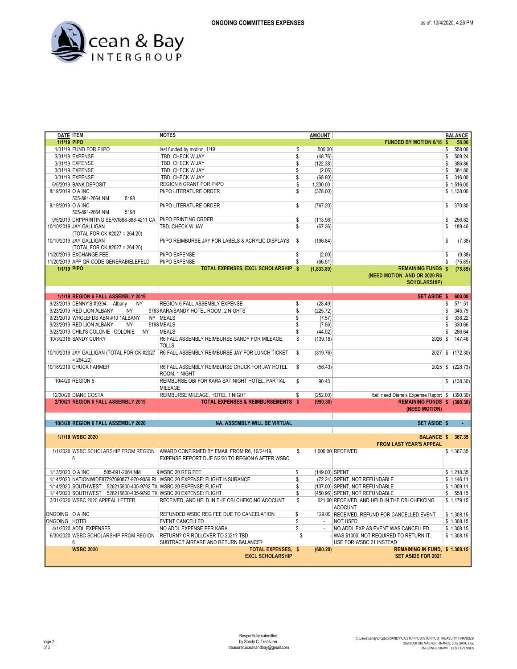

| DATE <b>ITEM</b>   |                                                                   | <b>NOTES</b>                                                                  | AMOUNT               |                                               |     | <b>BALANCE</b> |
|--------------------|-------------------------------------------------------------------|-------------------------------------------------------------------------------|----------------------|-----------------------------------------------|-----|----------------|
| <b>1/1/19 PIPO</b> |                                                                   |                                                                               |                      | <b>FUNDED BY MOTION 6/18</b>                  | -\$ | 58.00          |
|                    | 1/31/19 FUND FOR PI/PO                                            | last funded by motion, 1/19                                                   | \$<br>500.00         |                                               | \$  | 558.00         |
|                    | 3/31/19 EXPENSE                                                   | TBD, CHECK W JAY                                                              | \$<br>(48.76)        |                                               | \$  | 509.24         |
|                    | 3/31/19 EXPENSE                                                   | TBD, CHECK W JAY                                                              | \$<br>(122.38)       |                                               | \$  | 386.86         |
|                    | 3/31/19 EXPENSE                                                   | TBD, CHECK W JAY                                                              | \$<br>(2.06)         |                                               | \$  | 384.80         |
|                    | 3/31/19 EXPENSE                                                   | TBD, CHECK W JAY                                                              | \$<br>(68.80)        |                                               | \$  | 316.00         |
|                    | 6/5/2019 BANK DEPOSIT                                             | REGION 6 GRANT FOR PI/PO                                                      | \$<br>1,200.00       |                                               |     | \$1,516.00     |
|                    |                                                                   |                                                                               |                      |                                               |     |                |
| 8/19/2019 O A INC  |                                                                   | PI/PO LITERATURE ORDER                                                        | \$<br>(378.00)       |                                               |     | \$1,138.00     |
|                    | 5198<br>505-891-2664 NM                                           |                                                                               |                      |                                               |     |                |
| 8/19/2019 O A INC  |                                                                   | PI/PO LITERATURE ORDER                                                        | \$<br>(767.20)       |                                               | \$  | 370.80         |
|                    | 5198<br>505-891-2664 NM                                           |                                                                               |                      |                                               |     |                |
|                    | 9/5/2019 DRI*PRINTING SERVI888-888-4211 CA PI/PO PRINTING ORDER   |                                                                               | \$<br>(113.98)       |                                               | \$  | 256.82         |
|                    | 10/10/2019 JAY GALLIGAN                                           | TBD, CHECK W JAY                                                              | \$<br>(67.36)        |                                               | \$  | 189.46         |
|                    | (TOTAL FOR CK #2027 = 264.20)                                     |                                                                               |                      |                                               |     |                |
|                    | 10/10/2019 JAY GALLIGAN                                           | PI/PO REIMBURSE JAY FOR LABELS & ACRYLIC DISPLAYS                             | \$<br>(196.84)       |                                               | \$  | (7.38)         |
|                    | (TOTAL FOR CK #2027 = 264.20)                                     |                                                                               |                      |                                               |     |                |
|                    |                                                                   |                                                                               |                      |                                               |     |                |
|                    | 11/20/2019 EXCHANGE FEE                                           | <b>PI/PO EXPENSE</b>                                                          | \$<br>(2.00)         |                                               | \$  | (9.38)         |
|                    | 11/20/2019 APP QR CODE GENERABIELEFELD                            | PI/PO EXPENSE                                                                 | \$<br>(66.51)        |                                               | \$  | (75.89)        |
| 1/1/19 PIPO        |                                                                   | TOTAL EXPENSES, EXCL SCHOLARSHIP \$                                           | (1,833.89)           | <b>REMAINING FUNDS \$</b>                     |     | (75.89)        |
|                    |                                                                   |                                                                               |                      | (NEED MOTION, AND OR 2020 R6                  |     |                |
|                    |                                                                   |                                                                               |                      | <b>SCHOLARSHIP)</b>                           |     |                |
|                    |                                                                   |                                                                               |                      |                                               |     |                |
|                    | 1/1/19 REGION 6 FALL ASSEMBLY 2019                                |                                                                               |                      | <b>SET ASIDE \$</b>                           |     | 600.00         |
|                    | 9/23/2019 DENNY'S #9394 Albany<br><b>NY</b>                       | REGION 6 FALL ASSEMBLY EXPENSE                                                | \$<br>(28.49)        |                                               | \$  | 571.51         |
|                    | <b>NY</b><br>9/23/2019 RED LION ALBANY                            | 9763 KARA/SANDY HOTEL ROOM, 2 NIGHTS                                          | \$<br>(225.72)       |                                               | \$  | 345.79         |
|                    | 9/23/2019 WHOLEFDS ABN #10 1ALBANY                                | NY MEALS                                                                      | \$<br>(7.57)         |                                               | \$  | 338.22         |
|                    | 9/23/2019 RED LION ALBANY<br><b>NY</b>                            | 5198 MEALS                                                                    | \$<br>(7.56)         |                                               | \$  | 330.66         |
|                    |                                                                   |                                                                               |                      |                                               |     |                |
|                    | 9/23/2019 CHILI'S COLONIE COLONIE<br><b>NY</b>                    | <b>MEALS</b>                                                                  | \$<br>(44.02)        |                                               | \$  | 286.64         |
|                    | 10/3/2019 SANDY CURRY                                             | R6 FALL ASSEMBLY REIMBURSE SANDY FOR MILEAGE.                                 | \$<br>(139.18)       | $2026$ \$                                     |     | 147.46         |
|                    |                                                                   | <b>TOLLS</b>                                                                  |                      |                                               |     |                |
|                    | 10/10/2019 JAY GALLIGAN (TOTAL FOR CK #2027                       | R6 FALL ASSEMBLY REIMBURSE JAY FOR LUNCH TICKET                               | \$<br>(319.76)       | 2027                                          | \$  | (172.30)       |
|                    | $= 264.20$                                                        |                                                                               |                      |                                               |     |                |
|                    | 10/16/2019 CHUCK FARMER                                           | R6 FALL ASSEMBLY REIMBURSE CHUCK FOR JAY HOTEL                                | \$<br>(56.43)        | 2025                                          | -S  | (228.73)       |
|                    |                                                                   | ROOM, 1 NIGHT                                                                 |                      |                                               |     |                |
|                    | 10/4/20 REGION 6                                                  | REIMBURSE OBI FOR KARA SAT NIGHT HOTEL, PARTIAL                               | \$<br>90.43          |                                               |     | \$(138.30)     |
|                    |                                                                   | <b>MILEAGE</b>                                                                |                      |                                               |     |                |
|                    |                                                                   |                                                                               | \$                   |                                               |     |                |
|                    | 12/30/20 DIANE COSTA                                              | REIMBURSE MILEAGE, HOTEL 1 NIGHT                                              | (252.00)             | tbd, need Diane's Expense Report \$ (390.30)  |     |                |
|                    | 2/10/21 REGION 6 FALL ASSEMBLY 2019                               | <b>TOTAL EXPENSES &amp; REIMBURSEMENTS \$</b>                                 | (990.30)             | REMAINING FUNDS \$ (390.30)                   |     |                |
|                    |                                                                   |                                                                               |                      | (NEED MOTION)                                 |     |                |
|                    |                                                                   |                                                                               |                      |                                               |     |                |
|                    | 10/3/20 REGION 6 FALL ASSEMBLY 2020                               | NA, ASSEMBLY WILL BE VIRTUAL                                                  |                      | <b>SET ASIDE \$</b>                           |     |                |
|                    |                                                                   |                                                                               |                      |                                               |     |                |
|                    | 1/1/19 WSBC 2020                                                  |                                                                               |                      | <b>BALANCE \$ 367.35</b>                      |     |                |
|                    |                                                                   |                                                                               |                      | <b>FROM LAST YEAR'S APPEAL</b>                |     |                |
|                    | 1/1/2020 WSBC SCHOLARSHIP FROM REGION                             | AWARD CONFIRMED BY EMAIL FROM R6, 10/24/19,                                   | \$                   | 1,000.00 RECEIVED                             |     | \$1,367.35     |
|                    | 6                                                                 | EXPENSE REPORT DUE 5/2/20 TO REGION 6 AFTER WSBC                              |                      |                                               |     |                |
|                    |                                                                   |                                                                               |                      |                                               |     |                |
|                    | 505-891-2664 NM                                                   |                                                                               |                      |                                               |     |                |
| 1/13/2020 O A INC  |                                                                   | 9 WSBC 20 REG FEE                                                             | \$<br>(149.00) SPENT |                                               |     | \$1.218.35     |
|                    |                                                                   | 1/14/2020 NATIONWIDE87797090877-970-9059 RI WSBC 20 EXPENSE: FLIGHT INSURANCE | \$                   | (72.24) SPENT, NOT REFUNDABLE                 |     | \$1,146.11     |
|                    | 1/14/2020 SOUTHWEST 526215800-435-9792 TX WSBC 20 EXPENSE: FLIGHT |                                                                               | \$                   | (137.00) SPENT, NOT REFUNDABLE                |     | \$1,009.11     |
|                    | 1/14/2020 SOUTHWEST 526215800-435-9792 TX WSBC 20 EXPENSE: FLIGHT |                                                                               | \$                   | (450.96) SPENT, NOT REFUNDABLE                | \$  | 558.15         |
|                    | 3/31/2020 WSBC 2020 APPEAL LETTER                                 | RECEIVED, AND HELD IN THE OBI CHEKCING ACOCUNT                                | \$                   | 621.00 RECEIVED, AND HELD IN THE OBI CHEKCING |     | \$1,179.15     |
|                    |                                                                   |                                                                               |                      | <b>ACOCUNT</b>                                |     |                |
| ONGOING O A INC    |                                                                   | REFUNDED WSBC REG FEE DUE TO CANCELATION                                      | \$                   | 129.00 RECEIVED, REFUND FOR CANCELLED EVENT   |     | \$1,308.15     |
| ONGOING HOTEL      |                                                                   | <b>EVENT CANCELLED</b>                                                        | \$<br>$\sim$         | <b>NOT USED</b>                               |     | \$1,308.15     |
|                    | 4/1/2020 ADDL EXPENSES                                            |                                                                               |                      |                                               |     |                |
|                    |                                                                   | NO ADDL EXPENSE PER KARA                                                      | \$                   | NO ADDL EXP AS EVENT WAS CANCELLED            |     | \$1,308.15     |
|                    | 6/30/2020 WSBC SCHOLARSHIP FROM REGION                            | RETURN? OR ROLLOVER TO 2021? TBD                                              | \$                   | - WAS \$1000, NOT REQUIRED TO RETURN IT,      |     | \$1,308.15     |
|                    | 6                                                                 | SUBTRACT AIRFARE AND RETURN BALANCE?                                          |                      | USE FOR WSBC 21 INSTEAD                       |     |                |
|                    | <b>WSBC 2020</b>                                                  | <b>TOTAL EXPENSES, \$</b>                                                     | (680.20)             | REMAINING IN FUND, \$1,308.15                 |     |                |
|                    |                                                                   | <b>EXCL SCHOLARSHIP</b>                                                       |                      | <b>SET ASIDE FOR 2021</b>                     |     |                |
|                    |                                                                   |                                                                               |                      |                                               |     |                |